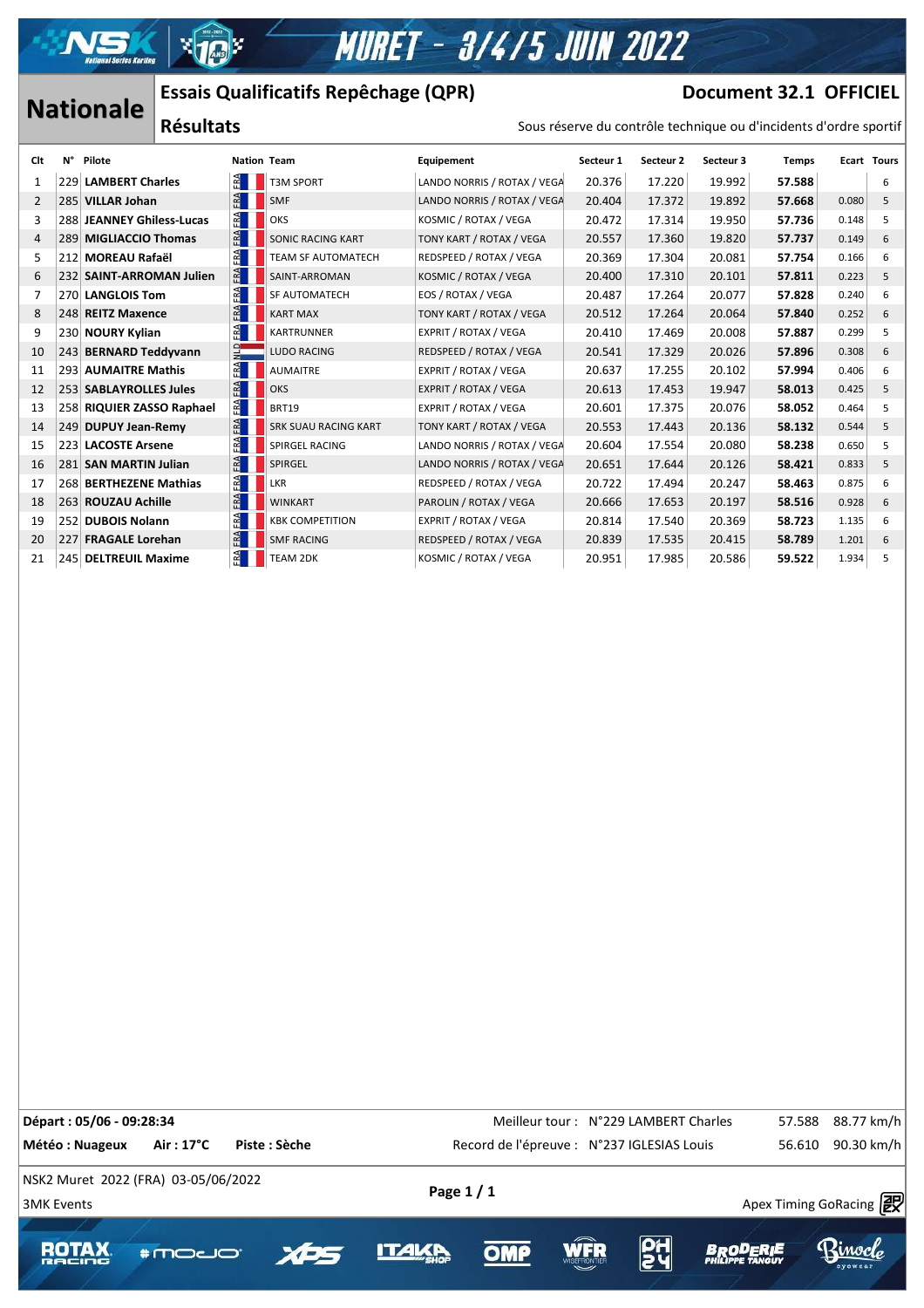

# **MURET - 3/4/5 JUIN 2022**

# **Nationale** Essais Qualificatifs Repêchage (QPR) **Document 32.1 OFFICIEL**

 $\mathcal{A}$  , and  $\mathcal{A}$  approximately success https://www.apex-timing.com/

### Sous réserve du contrôle technique ou d'incidents d'ordre sportif

|                  |     |                           |                                  |                  | LSSais Qualificatiis Repectiage (QFR)                             |                             | DOCUMENT JE'T ALLIFT |           |           |              |       |                    |
|------------------|-----|---------------------------|----------------------------------|------------------|-------------------------------------------------------------------|-----------------------------|----------------------|-----------|-----------|--------------|-------|--------------------|
| <b>Nationale</b> |     | <b>Résultats</b>          |                                  |                  | Sous réserve du contrôle technique ou d'incidents d'ordre sportif |                             |                      |           |           |              |       |                    |
| Clt              | N°  | Pilote                    |                                  |                  | <b>Nation Team</b>                                                | Equipement                  | Secteur 1            | Secteur 2 | Secteur 3 | <b>Temps</b> |       | <b>Ecart Tours</b> |
| 1                | 229 | <b>LAMBERT Charles</b>    | $\mathbb{R}$                     |                  | T3M SPORT                                                         | LANDO NORRIS / ROTAX / VEGA | 20.376               | 17.220    | 19.992    | 57.588       |       | 6                  |
| 2                |     | 285 VILLAR Johan          | $-RA$                            |                  | <b>SMF</b>                                                        | LANDO NORRIS / ROTAX / VEGA | 20.404               | 17.372    | 19.892    | 57.668       | 0.080 | 5                  |
| 3                |     | 288 JEANNEY Ghiless-Lucas | FAA                              |                  | OKS                                                               | KOSMIC / ROTAX / VEGA       | 20.472               | 17.314    | 19.950    | 57.736       | 0.148 | 5                  |
| 4                |     |                           | ERA<br>289 MIGLIACCIO Thomas     |                  | <b>SONIC RACING KART</b>                                          | TONY KART / ROTAX / VEGA    | 20.557               | 17.360    | 19.820    | 57.737       | 0.149 | 6                  |
| 5                | 212 |                           | FRA<br><b>MOREAU Rafaël</b>      |                  | TEAM SF AUTOMATECH                                                | REDSPEED / ROTAX / VEGA     | 20.369               | 17.304    | 20.081    | 57.754       | 0.166 | 6                  |
| 6                |     | 232 SAINT-ARROMAN Julien  |                                  | FRA              | SAINT-ARROMAN                                                     | KOSMIC / ROTAX / VEGA       | 20.400               | 17.310    | 20.101    | 57.811       | 0.223 | 5                  |
| 7                |     | 270 LANGLOIS Tom          | FAA                              |                  | SF AUTOMATECH                                                     | EOS / ROTAX / VEGA          | 20.487               | 17.264    | 20.077    | 57.828       | 0.240 | 6                  |
| 8                |     | 248 REITZ Maxence         |                                  |                  | <b>KART MAX</b>                                                   | TONY KART / ROTAX / VEGA    | 20.512               | 17.264    | 20.064    | 57.840       | 0.252 | 6                  |
| 9                |     | 230 NOURY Kylian          |                                  | $E^{\mathbf{A}}$ | <b>KARTRUNNER</b>                                                 | EXPRIT / ROTAX / VEGA       | 20.410               | 17.469    | 20.008    | 57.887       | 0.299 | 5                  |
| 10               |     | 243 BERNARD Teddyvann     |                                  | $\Xi$            | <b>LUDO RACING</b>                                                | REDSPEED / ROTAX / VEGA     | 20.541               | 17.329    | 20.026    | 57.896       | 0.308 | 6                  |
| 11               |     | 293 AUMAITRE Mathis       |                                  | $E^{\Delta}$     | <b>AUMAITRE</b>                                                   | EXPRIT / ROTAX / VEGA       | 20.637               | 17.255    | 20.102    | 57.994       | 0.406 | 6                  |
| 12               |     | 253 SABLAYROLLES Jules    |                                  | FRA              | OKS                                                               | EXPRIT / ROTAX / VEGA       | 20.613               | 17.453    | 19.947    | 58.013       | 0.425 | 5                  |
| 13               |     |                           | ERA<br>258 RIQUIER ZASSO Raphael |                  | <b>BRT19</b>                                                      | EXPRIT / ROTAX / VEGA       | 20.601               | 17.375    | 20.076    | 58.052       | 0.464 | 5                  |
| 14               |     | 249 DUPUY Jean-Remy       | $E^{\mathbf{A}}$                 |                  | <b>SRK SUAU RACING KART</b>                                       | TONY KART / ROTAX / VEGA    | 20.553               | 17.443    | 20.136    | 58.132       | 0.544 | 5                  |
| 15               |     | 223 LACOSTE Arsene        |                                  | $E^{\mathbf{A}}$ | <b>SPIRGEL RACING</b>                                             | LANDO NORRIS / ROTAX / VEGA | 20.604               | 17.554    | 20.080    | 58.238       | 0.650 | 5                  |
| 16               |     | 281 SAN MARTIN Julian     |                                  | $E^{\mathbf{A}}$ | SPIRGEL                                                           | LANDO NORRIS / ROTAX / VEGA | 20.651               | 17.644    | 20.126    | 58.421       | 0.833 | 5                  |
| 17               |     | 268 BERTHEZENE Mathias    |                                  | $E^{\mathbf{A}}$ | LKR                                                               | REDSPEED / ROTAX / VEGA     | 20.722               | 17.494    | 20.247    | 58.463       | 0.875 | 6                  |
| 18               |     | 263 ROUZAU Achille        | FRA                              |                  | <b>WINKART</b>                                                    | PAROLIN / ROTAX / VEGA      | 20.666               | 17.653    | 20.197    | 58.516       | 0.928 | 6                  |
| 19               |     | 252 DUBOIS Nolann         |                                  | ř.               | <b>KBK COMPETITION</b>                                            | EXPRIT / ROTAX / VEGA       | 20.814               | 17.540    | 20.369    | 58.723       | 1.135 | 6                  |
| 20               |     | 227 FRAGALE Lorehan       |                                  | FRA              | <b>SMF RACING</b>                                                 | REDSPEED / ROTAX / VEGA     | 20.839               | 17.535    | 20.415    | 58.789       | 1.201 | 6                  |
| 21               |     | 245 DELTREUIL Maxime      |                                  | FA               | <b>TEAM 2DK</b>                                                   | KOSMIC / ROTAX / VEGA       | 20.951               | 17.985    | 20.586    | 59.522       | 1.934 | 5                  |
|                  |     |                           |                                  |                  |                                                                   |                             |                      |           |           |              |       |                    |

**Départ : 05/06 - 09:28:34** CHE REPART IN MELLEUR TO Meilleur tour : N°229 LAMBERT Charles 57.588 88.77 km/h Météo : Nuageux Air : 17°C Piste : Sèche **Record de l'épreuve : N°237 IGLESIAS Louis** 56.610 90.30 km/h NSK2 Muret 2022 (FRA) 03-05/06/2022  $\frac{1}{3}$ MK Events Apex Timing GoRacing  $\frac{1}{2}$ **ROTAX \*moco** OMP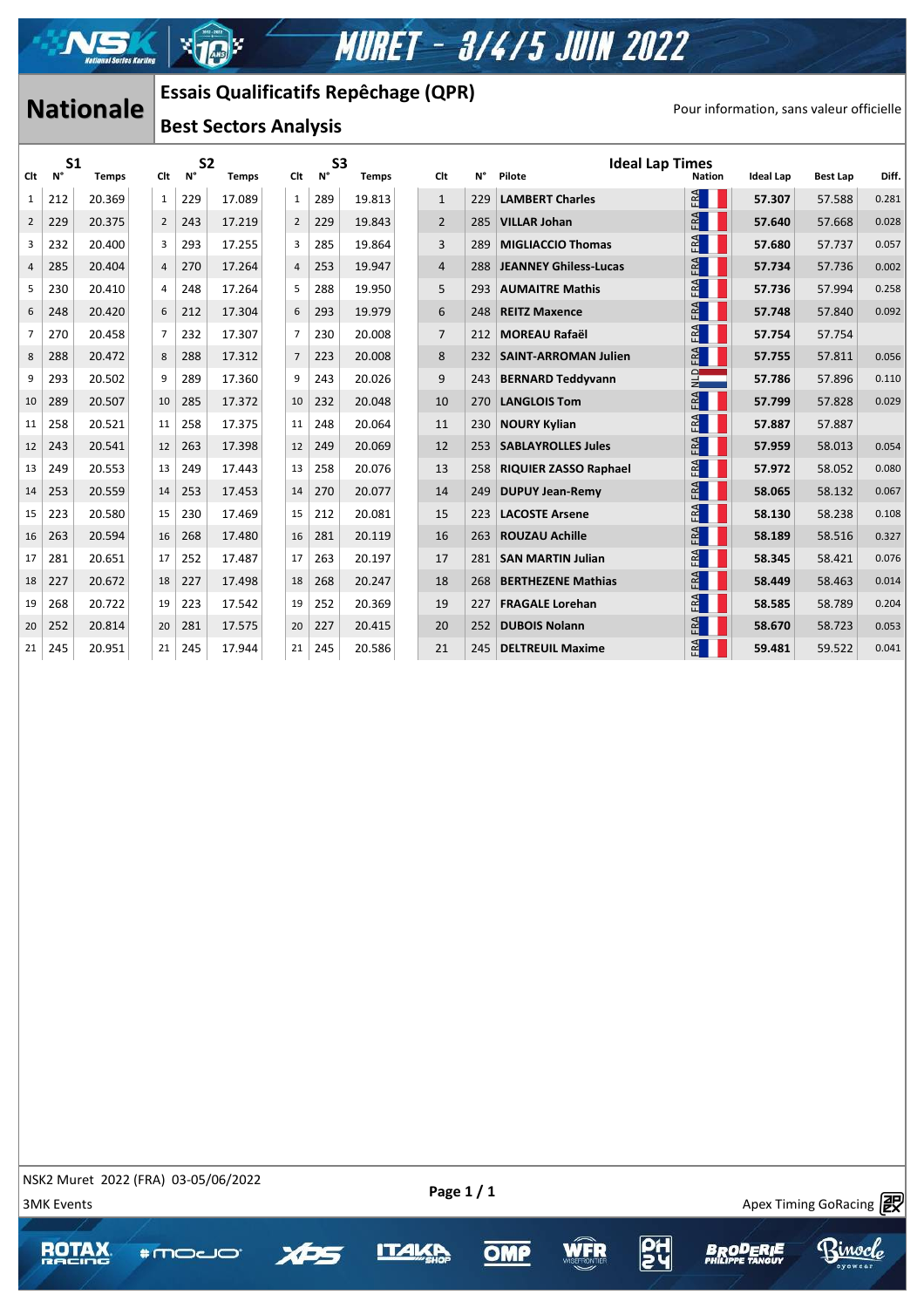

### **Nationale** | Essais Quanticatiis Repectiage (QPR) | The process Pour information, sans valeur officielle **Essais Qualificatifs Repêchage (QPR)**

### **Best Sectors Analysis**

| <b>Nationale</b> |                      |              | <b>Essais Qualificatifs Repêchage (QPR)</b> |                |                              |              |  |                |                      |              |                                          |     |                                  |               |                  |                 |       |
|------------------|----------------------|--------------|---------------------------------------------|----------------|------------------------------|--------------|--|----------------|----------------------|--------------|------------------------------------------|-----|----------------------------------|---------------|------------------|-----------------|-------|
|                  |                      |              |                                             |                | <b>Best Sectors Analysis</b> |              |  |                |                      |              | Pour information, sans valeur officielle |     |                                  |               |                  |                 |       |
| Clt              | S <sub>1</sub><br>N° | <b>Temps</b> |                                             | Clt            | S <sub>2</sub><br>Ν°         | <b>Temps</b> |  | Clt            | S <sub>3</sub><br>N° | <b>Temps</b> | Clt                                      | N°  | <b>Ideal Lap Times</b><br>Pilote | <b>Nation</b> | <b>Ideal Lap</b> | <b>Best Lap</b> | Diff. |
| 1                | 212                  | 20.369       |                                             | 1              | 229                          | 17.089       |  | 1              | 289                  | 19.813       | $\mathbf{1}$                             | 229 | <b>LAMBERT Charles</b>           | FA            | 57.307           | 57.588          | 0.281 |
| $\overline{2}$   | 229                  | 20.375       |                                             | $\overline{2}$ | 243                          | 17.219       |  | $\overline{2}$ | 229                  | 19.843       | $\overline{2}$                           | 285 | <b>VILLAR Johan</b>              | FA            | 57.640           | 57.668          | 0.028 |
| 3                | 232                  | 20.400       |                                             | 3              | 293                          | 17.255       |  | 3              | 285                  | 19.864       | 3                                        | 289 | <b>MIGLIACCIO Thomas</b>         | FRA           | 57.680           | 57.737          | 0.057 |
| 4                | 285                  | 20.404       |                                             | $\sqrt{4}$     | 270                          | 17.264       |  | 4              | 253                  | 19.947       | $\overline{4}$                           | 288 | <b>JEANNEY Ghiless-Lucas</b>     | FA            | 57.734           | 57.736          | 0.002 |
| 5                | 230                  | 20.410       |                                             | 4              | 248                          | 17.264       |  | 5              | 288                  | 19.950       | 5                                        | 293 | <b>AUMAITRE Mathis</b>           | FRA           | 57.736           | 57.994          | 0.258 |
| 6                | 248                  | 20.420       |                                             | 6              | 212                          | 17.304       |  | 6              | 293                  | 19.979       | 6                                        | 248 | <b>REITZ Maxence</b>             | FRA           | 57.748           | 57.840          | 0.092 |
| 7                | 270                  | 20.458       |                                             | $\overline{7}$ | 232                          | 17.307       |  | $\overline{7}$ | 230                  | 20.008       | $\overline{7}$                           | 212 | <b>MOREAU Rafaël</b>             | FRA           | 57.754           | 57.754          |       |
| 8                | 288                  | 20.472       |                                             | 8              | 288                          | 17.312       |  | $\overline{7}$ | 223                  | 20.008       | 8                                        | 232 | <b>SAINT-ARROMAN Julien</b>      | FA            | 57.755           | 57.811          | 0.056 |
| 9                | 293                  | 20.502       |                                             | 9              | 289                          | 17.360       |  | 9              | 243                  | 20.026       | 9                                        | 243 | <b>BERNARD Teddyvann</b>         | $\frac{1}{2}$ | 57.786           | 57.896          | 0.110 |
| 10               | 289                  | 20.507       |                                             | 10             | 285                          | 17.372       |  | 10             | 232                  | 20.048       | 10                                       | 270 | <b>LANGLOIS Tom</b>              | FRA           | 57.799           | 57.828          | 0.029 |
| 11               | 258                  | 20.521       |                                             | 11             | 258                          | 17.375       |  | 11             | 248                  | 20.064       | 11                                       | 230 | <b>NOURY Kylian</b>              | FRA           | 57.887           | 57.887          |       |
| 12               | 243                  | 20.541       |                                             | 12             | 263                          | 17.398       |  | 12             | 249                  | 20.069       | 12                                       | 253 | <b>SABLAYROLLES Jules</b>        | FRA           | 57.959           | 58.013          | 0.054 |
| 13               | 249                  | 20.553       |                                             | 13             | 249                          | 17.443       |  | 13             | 258                  | 20.076       | 13                                       | 258 | <b>RIQUIER ZASSO Raphael</b>     | FRA           | 57.972           | 58.052          | 0.080 |
| 14               | 253                  | 20.559       |                                             | 14             | 253                          | 17.453       |  | 14             | 270                  | 20.077       | 14                                       | 249 | <b>DUPUY Jean-Remy</b>           | FRA           | 58.065           | 58.132          | 0.067 |
| 15               | 223                  | 20.580       |                                             | 15             | 230                          | 17.469       |  | 15             | 212                  | 20.081       | 15                                       | 223 | <b>LACOSTE Arsene</b>            | FRA           | 58.130           | 58.238          | 0.108 |
| 16               | 263                  | 20.594       |                                             | 16             | 268                          | 17.480       |  | 16             | 281                  | 20.119       | 16                                       | 263 | <b>ROUZAU Achille</b>            | FRA           | 58.189           | 58.516          | 0.327 |
| 17               | 281                  | 20.651       |                                             | 17             | 252                          | 17.487       |  | 17             | 263                  | 20.197       | 17                                       | 281 | <b>SAN MARTIN Julian</b>         | FRA           | 58.345           | 58.421          | 0.076 |
| 18               | 227                  | 20.672       |                                             | 18             | 227                          | 17.498       |  | 18             | 268                  | 20.247       | 18                                       | 268 | <b>BERTHEZENE Mathias</b>        | FA            | 58.449           | 58.463          | 0.014 |
| 19               | 268                  | 20.722       |                                             | 19             | 223                          | 17.542       |  | 19             | 252                  | 20.369       | 19                                       | 227 | <b>FRAGALE Lorehan</b>           | FRA           | 58.585           | 58.789          | 0.204 |
| 20               | 252                  | 20.814       |                                             | 20             | 281                          | 17.575       |  | 20             | 227                  | 20.415       | 20                                       | 252 | <b>DUBOIS Nolann</b>             | FA            | 58.670           | 58.723          | 0.053 |
| 21               | 245                  | 20.951       |                                             | 21             | 245                          | 17.944       |  | 21             | 245                  | 20.586       | 21                                       | 245 | <b>DELTREUIL Maxime</b>          | FA            | 59.481           | 59.522          | 0.041 |
|                  |                      |              |                                             |                |                              |              |  |                |                      |              |                                          |     |                                  |               |                  |                 |       |

NSK2 Muret 2022 (FRA) 03-05/06/2022

 $\mathcal{A}$  , and  $\mathcal{A}$  approximately success https://www.apex-timing.com/

**\*moco** 

 $\frac{1}{3}$  3MK Events Apex Timing GoRacing  $\frac{1}{2}$ 

kinoc*l*o







얿

**BROD**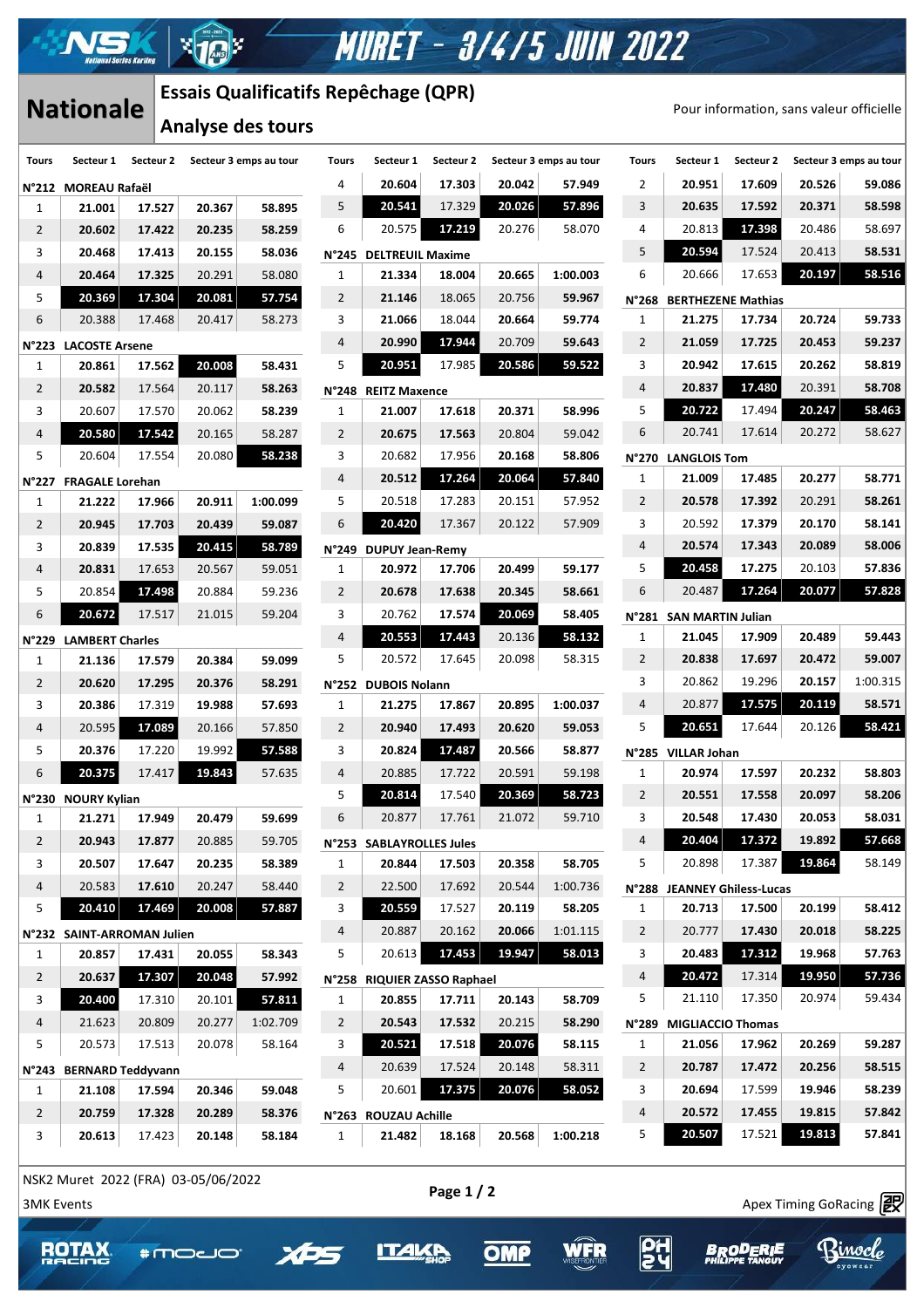# **MURET - 3/4/5 JUIN 2022**

## **Nationale**

### **Essais Qualificatifs Repêchage (QPR)**

l xh

 $\mathcal{A}$  , and  $\mathcal{A}$  approximately success https://www.apex-timing.com/

**\*moco** 

 $\rightarrow$ 

**ROTAX** 

| <b>Tours</b>    | Secteur 1                  |        | Secteur 2 Secteur 3 emps au tour |          | <b>Tours</b>   | Secteur 1                   | Secteur 2 |        | Secteur 3 emps au tour | <b>Tours</b>   | Secteur 1                   | Secteur 2 |        | Secteur 3 emps au tour |
|-----------------|----------------------------|--------|----------------------------------|----------|----------------|-----------------------------|-----------|--------|------------------------|----------------|-----------------------------|-----------|--------|------------------------|
|                 | N°212 MOREAU Rafaël        |        |                                  |          | 4              | 20.604                      | 17.303    | 20.042 | 57.949                 | 2              | 20.951                      | 17.609    | 20.526 | 59.086                 |
| 1               | 21.001                     | 17.527 | 20.367                           | 58.895   | 5              | 20.541                      | 17.329    | 20.026 | 57.896                 | 3              | 20.635                      | 17.592    | 20.371 | 58.598                 |
| $\overline{2}$  | 20.602                     | 17.422 | 20.235                           | 58.259   | 6              | 20.575                      | 17.219    | 20.276 | 58.070                 | 4              | 20.813                      | 17.398    | 20.486 | 58.697                 |
| 3               | 20.468                     | 17.413 | 20.155                           | 58.036   |                | N°245 DELTREUIL Maxime      |           |        |                        | 5              | 20.594                      | 17.524    | 20.413 | 58.531                 |
| 4               | 20.464                     | 17.325 | 20.291                           | 58.080   | $\mathbf{1}$   | 21.334                      | 18.004    | 20.665 | 1:00.003               | 6              | 20.666                      | 17.653    | 20.197 | 58.516                 |
| 5               | 20.369                     | 17.304 | 20.081                           | 57.754   | $\overline{2}$ | 21.146                      | 18.065    | 20.756 | 59.967                 |                | N°268 BERTHEZENE Mathias    |           |        |                        |
| 6               | 20.388                     | 17.468 | 20.417                           | 58.273   | 3              | 21.066                      | 18.044    | 20.664 | 59.774                 | $\mathbf{1}$   | 21.275                      | 17.734    | 20.724 | 59.733                 |
| $N^{\circ}$ 223 | <b>LACOSTE Arsene</b>      |        |                                  |          | 4              | 20.990                      | 17.944    | 20.709 | 59.643                 | $\overline{2}$ | 21.059                      | 17.725    | 20.453 | 59.237                 |
| 1               | 20.861                     | 17.562 | 20.008                           | 58.431   | 5              | 20.951                      | 17.985    | 20.586 | 59.522                 | 3              | 20.942                      | 17.615    | 20.262 | 58.819                 |
| $\overline{2}$  | 20.582                     | 17.564 | 20.117                           | 58.263   |                | N°248 REITZ Maxence         |           |        |                        | 4              | 20.837                      | 17.480    | 20.391 | 58.708                 |
| 3               | 20.607                     | 17.570 | 20.062                           | 58.239   | $\mathbf{1}$   | 21.007                      | 17.618    | 20.371 | 58.996                 | 5              | 20.722                      | 17.494    | 20.247 | 58.463                 |
| 4               | 20.580                     | 17.542 | 20.165                           | 58.287   | $\overline{2}$ | 20.675                      | 17.563    | 20.804 | 59.042                 | 6              | 20.741                      | 17.614    | 20.272 | 58.627                 |
| 5               | 20.604                     | 17.554 | 20.080                           | 58.238   | 3              | 20.682                      | 17.956    | 20.168 | 58.806                 |                | N°270 LANGLOIS Tom          |           |        |                        |
|                 | N°227 FRAGALE Lorehan      |        |                                  |          | 4              | 20.512                      | 17.264    | 20.064 | 57.840                 | $\mathbf{1}$   | 21.009                      | 17.485    | 20.277 | 58.771                 |
| 1               | 21.222                     | 17.966 | 20.911                           | 1:00.099 | 5              | 20.518                      | 17.283    | 20.151 | 57.952                 | $\overline{2}$ | 20.578                      | 17.392    | 20.291 | 58.261                 |
| $\overline{2}$  | 20.945                     | 17.703 | 20.439                           | 59.087   | 6              | 20.420                      | 17.367    | 20.122 | 57.909                 | 3              | 20.592                      | 17.379    | 20.170 | 58.141                 |
| 3               | 20.839                     | 17.535 | 20.415                           | 58.789   |                | N°249 DUPUY Jean-Remy       |           |        |                        | 4              | 20.574                      | 17.343    | 20.089 | 58.006                 |
| 4               | 20.831                     | 17.653 | 20.567                           | 59.051   | $\mathbf{1}$   | 20.972                      | 17.706    | 20.499 | 59.177                 | 5              | 20.458                      | 17.275    | 20.103 | 57.836                 |
| 5               | 20.854                     | 17.498 | 20.884                           | 59.236   | $\overline{2}$ | 20.678                      | 17.638    | 20.345 | 58.661                 | 6              | 20.487                      | 17.264    | 20.077 | 57.828                 |
| 6               | 20.672                     | 17.517 | 21.015                           | 59.204   | 3              | 20.762                      | 17.574    | 20.069 | 58.405                 |                | N°281 SAN MARTIN Julian     |           |        |                        |
|                 | N°229 LAMBERT Charles      |        |                                  |          | 4              | 20.553                      | 17.443    | 20.136 | 58.132                 | $\mathbf{1}$   | 21.045                      | 17.909    | 20.489 | 59.443                 |
| 1               | 21.136                     | 17.579 | 20.384                           | 59.099   | 5              | 20.572                      | 17.645    | 20.098 | 58.315                 | $\overline{2}$ | 20.838                      | 17.697    | 20.472 | 59.007                 |
| 2               | 20.620                     | 17.295 | 20.376                           | 58.291   |                | N°252 DUBOIS Nolann         |           |        |                        | 3              | 20.862                      | 19.296    | 20.157 | 1:00.315               |
| 3               | 20.386                     | 17.319 | 19.988                           | 57.693   | $\mathbf{1}$   | 21.275                      | 17.867    | 20.895 | 1:00.037               | 4              | 20.877                      | 17.575    | 20.119 | 58.571                 |
| 4               | 20.595                     | 17.089 | 20.166                           | 57.850   | $\overline{2}$ | 20.940                      | 17.493    | 20.620 | 59.053                 | 5              | 20.651                      | 17.644    | 20.126 | 58.421                 |
| 5               | 20.376                     | 17.220 | 19.992                           | 57.588   | 3              | 20.824                      | 17.487    | 20.566 | 58.877                 |                | N°285 VILLAR Johan          |           |        |                        |
| 6               | 20.375                     | 17.417 | 19.843                           | 57.635   | 4              | 20.885                      | 17.722    | 20.591 | 59.198                 | $\mathbf{1}$   | 20.974                      | 17.597    | 20.232 | 58.803                 |
|                 | N°230 NOURY Kylian         |        |                                  |          | 5              | 20.814                      | 17.540    | 20.369 | 58.723                 | 2              | 20.551                      | 17.558    | 20.097 | 58.206                 |
| $\mathbf{1}$    | 21.271                     | 17.949 | 20.479                           | 59.699   | 6              | 20.877                      | 17.761    | 21.072 | 59.710                 | 3              | 20.548                      | 17.430    | 20.053 | 58.031                 |
| $\overline{2}$  | 20.943                     | 17.877 | 20.885                           | 59.705   |                | N°253 SABLAYROLLES Jules    |           |        |                        | 4              | 20.404                      | 17.372    | 19.892 | 57.668                 |
| 3               | 20.507                     | 17.647 | 20.235                           | 58.389   | $\mathbf{1}$   | 20.844                      | 17.503    | 20.358 | 58.705                 | 5              | 20.898                      | 17.387    | 19.864 | 58.149                 |
| 4               | 20.583                     | 17.610 | 20.247                           | 58.440   | $\overline{2}$ | 22.500                      | 17.692    | 20.544 | 1:00.736               |                | N°288 JEANNEY Ghiless-Lucas |           |        |                        |
| 5               | 20.410                     | 17.469 | 20.008                           | 57.887   | 3              | 20.559                      | 17.527    | 20.119 | 58.205                 | $\mathbf{1}$   | 20.713                      | 17.500    | 20.199 | 58.412                 |
|                 | N°232 SAINT-ARROMAN Julien |        |                                  |          | 4              | 20.887                      | 20.162    | 20.066 | 1:01.115               | $\overline{2}$ | 20.777                      | 17.430    | 20.018 | 58.225                 |
| $\mathbf{1}$    | 20.857                     | 17.431 | 20.055                           | 58.343   | 5              | 20.613                      | 17.453    | 19.947 | 58.013                 | 3              | 20.483                      | 17.312    | 19.968 | 57.763                 |
| $\overline{2}$  | 20.637                     | 17.307 | 20.048                           | 57.992   |                | N°258 RIQUIER ZASSO Raphael |           |        |                        | 4              | 20.472                      | 17.314    | 19.950 | 57.736                 |
| 3               | 20.400                     | 17.310 | 20.101                           | 57.811   | $\mathbf{1}$   | 20.855                      | 17.711    | 20.143 | 58.709                 | 5              | 21.110                      | 17.350    | 20.974 | 59.434                 |
| 4               | 21.623                     | 20.809 | 20.277                           | 1:02.709 | $\overline{2}$ | 20.543                      | 17.532    | 20.215 | 58.290                 | N°289          | <b>MIGLIACCIO Thomas</b>    |           |        |                        |
| 5               | 20.573                     | 17.513 | 20.078                           | 58.164   | 3              | 20.521                      | 17.518    | 20.076 | 58.115                 | $\mathbf{1}$   | 21.056                      | 17.962    | 20.269 | 59.287                 |
|                 | N°243 BERNARD Teddyvann    |        |                                  |          | $\overline{4}$ | 20.639                      | 17.524    | 20.148 | 58.311                 | $\overline{2}$ | 20.787                      | 17.472    | 20.256 | 58.515                 |
| 1               | 21.108                     | 17.594 | 20.346                           | 59.048   | 5              | 20.601                      | 17.375    | 20.076 | 58.052                 | 3              | 20.694                      | 17.599    | 19.946 | 58.239                 |
| $\overline{2}$  | 20.759                     | 17.328 | 20.289                           | 58.376   |                | N°263 ROUZAU Achille        |           |        |                        | 4              | 20.572                      | 17.455    | 19.815 | 57.842                 |
| 3               | 20.613                     | 17.423 | 20.148                           | 58.184   | $\mathbf{1}$   | 21.482                      | 18.168    | 20.568 | 1:00.218               | 5              | 20.507                      | 17.521    | 19.813 | 57.841                 |

**PH** 

**BROD** 

TE

Binocle

**WFR** 

 $OMP$ 

**ITALKP**